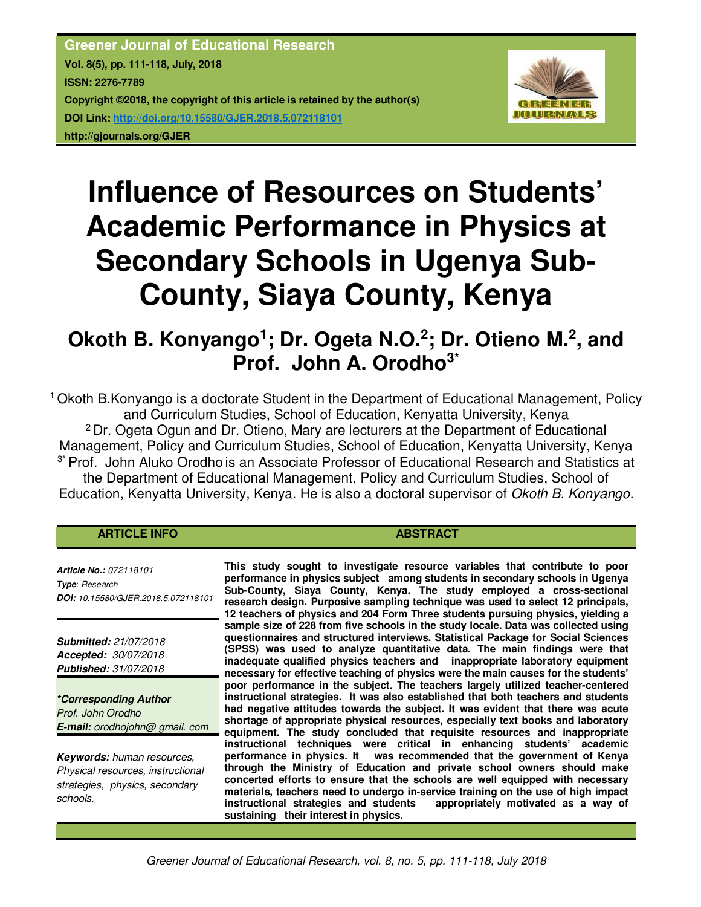**Greener Journal of Educational Research Vol. 8(5), pp. 111-118, July, 2018 ISSN: 2276-7789 Copyright ©2018, the copyright of this article is retained by the author(s) DOI Link: http://doi.org/10.15580/GJER.2018.5.072118101 http://gjournals.org/GJER**



# **Influence of Resources on Students' Academic Performance in Physics at Secondary Schools in Ugenya Sub-County, Siaya County, Kenya**

## **Okoth B. Konyango<sup>1</sup> ; Dr. Ogeta N.O.<sup>2</sup> ; Dr. Otieno M.<sup>2</sup> , and Prof. John A. Orodho3\***

<sup>1</sup>Okoth B.Konyango is a doctorate Student in the Department of Educational Management, Policy and Curriculum Studies, School of Education, Kenyatta University, Kenya <sup>2</sup> Dr. Ogeta Ogun and Dr. Otieno, Mary are lecturers at the Department of Educational Management, Policy and Curriculum Studies, School of Education, Kenyatta University, Kenya <sup>3\*</sup> Prof. John Aluko Orodho is an Associate Professor of Educational Research and Statistics at the Department of Educational Management, Policy and Curriculum Studies, School of Education, Kenyatta University, Kenya. He is also a doctoral supervisor of *Okoth B. Konyango.*

### **ARTICLE INFO ABSTRACT ABSTRACT**

*Article No.: 072118101 Type*: *Research DOI: 10.15580/GJER.2018.5.072118101*

*Submitted: 21/07/2018 Accepted: 30/07/2018 Published: 31/07/2018*

*\*Corresponding Author Prof. John Orodho E-mail: orodhojohn@ gmail. com*

*Keywords: human resources, Physical resources, instructional strategies, physics, secondary schools.*

**This study sought to investigate resource variables that contribute to poor performance in physics subject among students in secondary schools in Ugenya Sub-County, Siaya County, Kenya. The study employed a cross-sectional research design. Purposive sampling technique was used to select 12 principals, 12 teachers of physics and 204 Form Three students pursuing physics, yielding a sample size of 228 from five schools in the study locale. Data was collected using questionnaires and structured interviews. Statistical Package for Social Sciences (SPSS) was used to analyze quantitative data. The main findings were that inadequate qualified physics teachers and inappropriate laboratory equipment necessary for effective teaching of physics were the main causes for the students' poor performance in the subject. The teachers largely utilized teacher-centered instructional strategies. It was also established that both teachers and students had negative attitudes towards the subject. It was evident that there was acute shortage of appropriate physical resources, especially text books and laboratory equipment. The study concluded that requisite resources and inappropriate instructional techniques were critical in enhancing students' academic performance in physics. It was recommended that the government of Kenya through the Ministry of Education and private school owners should make concerted efforts to ensure that the schools are well equipped with necessary materials, teachers need to undergo in-service training on the use of high impact instructional strategies and students appropriately motivated as a way of sustaining their interest in physics.**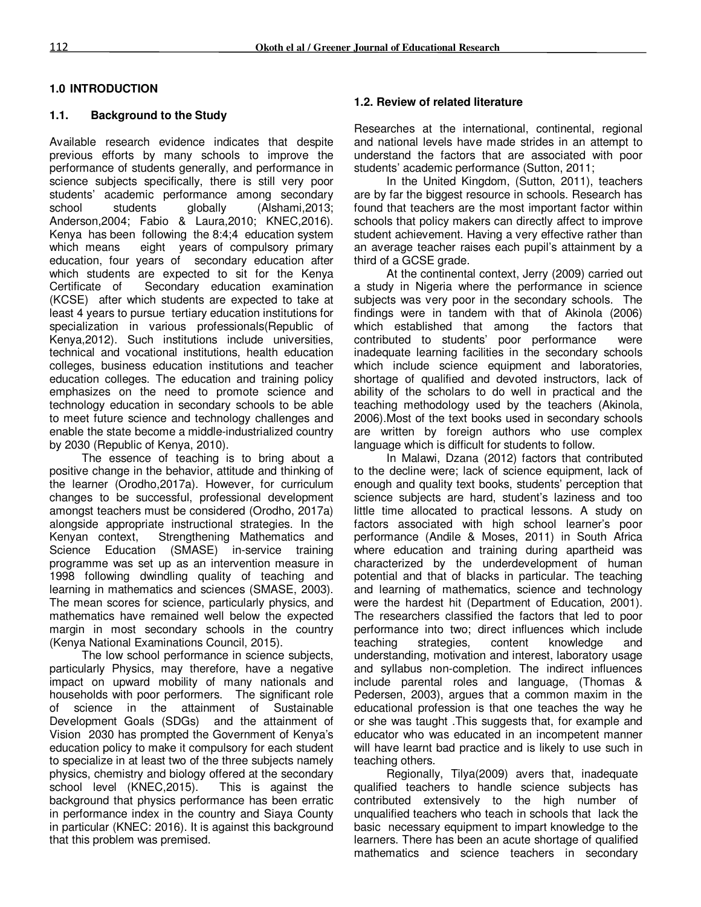#### **1.0 INTRODUCTION**

#### **1.1. Background to the Study**

Available research evidence indicates that despite previous efforts by many schools to improve the performance of students generally, and performance in science subjects specifically, there is still very poor students' academic performance among secondary school students globally (Alshami,2013; Anderson,2004; Fabio & Laura,2010; KNEC,2016). Kenya has been following the 8:4;4 education system which means eight years of compulsory primary education, four years of secondary education after which students are expected to sit for the Kenya Certificate of Secondary education examination (KCSE) after which students are expected to take at least 4 years to pursue tertiary education institutions for specialization in various professionals(Republic of Kenya,2012). Such institutions include universities, technical and vocational institutions, health education colleges, business education institutions and teacher education colleges. The education and training policy emphasizes on the need to promote science and technology education in secondary schools to be able to meet future science and technology challenges and enable the state become a middle-industrialized country by 2030 (Republic of Kenya, 2010).

The essence of teaching is to bring about a positive change in the behavior, attitude and thinking of the learner (Orodho,2017a). However, for curriculum changes to be successful, professional development amongst teachers must be considered (Orodho, 2017a) alongside appropriate instructional strategies. In the Kenyan context, Strengthening Mathematics and Strengthening Mathematics and Science Education (SMASE) in-service training programme was set up as an intervention measure in 1998 following dwindling quality of teaching and learning in mathematics and sciences (SMASE, 2003). The mean scores for science, particularly physics, and mathematics have remained well below the expected margin in most secondary schools in the country (Kenya National Examinations Council, 2015).

The low school performance in science subjects, particularly Physics, may therefore, have a negative impact on upward mobility of many nationals and households with poor performers. The significant role of science in the attainment of Sustainable Development Goals (SDGs) and the attainment of Vision 2030 has prompted the Government of Kenya's education policy to make it compulsory for each student to specialize in at least two of the three subjects namely physics, chemistry and biology offered at the secondary school level (KNEC,2015). This is against the background that physics performance has been erratic in performance index in the country and Siaya County in particular (KNEC: 2016). It is against this background that this problem was premised.

#### **1.2. Review of related literature**

Researches at the international, continental, regional and national levels have made strides in an attempt to understand the factors that are associated with poor students' academic performance (Sutton, 2011;

In the United Kingdom, (Sutton, 2011), teachers are by far the biggest resource in schools. Research has found that teachers are the most important factor within schools that policy makers can directly affect to improve student achievement. Having a very effective rather than an average teacher raises each pupil's attainment by a third of a GCSE grade.

At the continental context, Jerry (2009) carried out a study in Nigeria where the performance in science subjects was very poor in the secondary schools. The findings were in tandem with that of Akinola (2006) which established that among the factors that contributed to students' poor performance were inadequate learning facilities in the secondary schools which include science equipment and laboratories, shortage of qualified and devoted instructors, lack of ability of the scholars to do well in practical and the teaching methodology used by the teachers (Akinola, 2006).Most of the text books used in secondary schools are written by foreign authors who use complex language which is difficult for students to follow.

In Malawi, Dzana (2012) factors that contributed to the decline were; lack of science equipment, lack of enough and quality text books, students' perception that science subjects are hard, student's laziness and too little time allocated to practical lessons. A study on factors associated with high school learner's poor performance (Andile & Moses, 2011) in South Africa where education and training during apartheid was characterized by the underdevelopment of human potential and that of blacks in particular. The teaching and learning of mathematics, science and technology were the hardest hit (Department of Education, 2001). The researchers classified the factors that led to poor performance into two; direct influences which include teaching strategies, content knowledge and understanding, motivation and interest, laboratory usage and syllabus non-completion. The indirect influences include parental roles and language, (Thomas & Pedersen, 2003), argues that a common maxim in the educational profession is that one teaches the way he or she was taught .This suggests that, for example and educator who was educated in an incompetent manner will have learnt bad practice and is likely to use such in teaching others.

Regionally, Tilya(2009) avers that, inadequate qualified teachers to handle science subjects has contributed extensively to the high number of unqualified teachers who teach in schools that lack the basic necessary equipment to impart knowledge to the learners. There has been an acute shortage of qualified mathematics and science teachers in secondary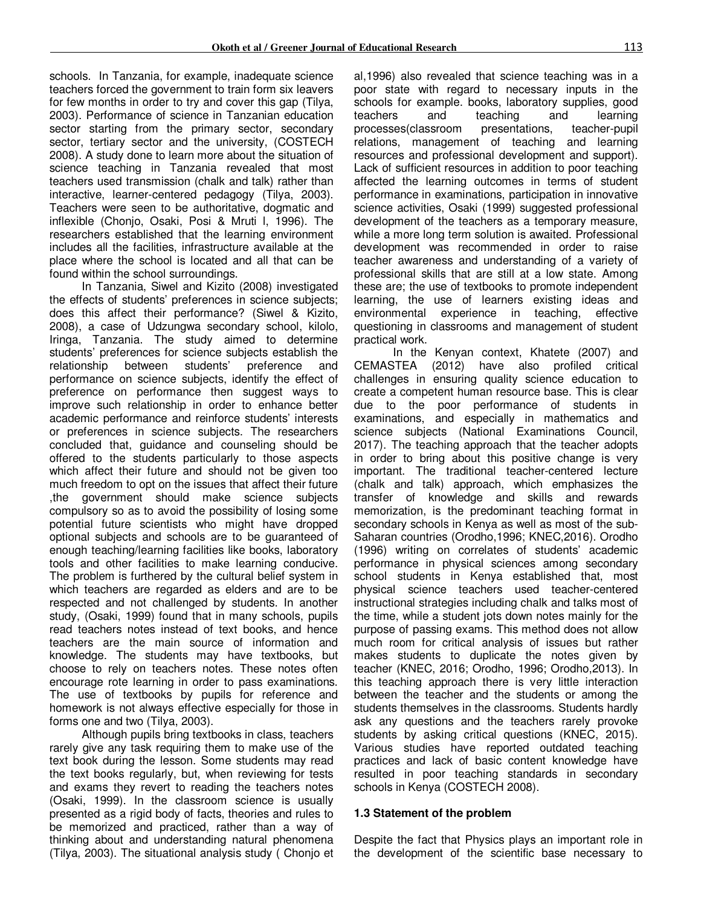schools. In Tanzania, for example, inadequate science teachers forced the government to train form six leavers for few months in order to try and cover this gap (Tilya, 2003). Performance of science in Tanzanian education sector starting from the primary sector, secondary sector, tertiary sector and the university, (COSTECH 2008). A study done to learn more about the situation of science teaching in Tanzania revealed that most teachers used transmission (chalk and talk) rather than interactive, learner-centered pedagogy (Tilya, 2003). Teachers were seen to be authoritative, dogmatic and inflexible (Chonjo, Osaki, Posi & Mruti l, 1996). The researchers established that the learning environment includes all the facilities, infrastructure available at the place where the school is located and all that can be found within the school surroundings.

In Tanzania, Siwel and Kizito (2008) investigated the effects of students' preferences in science subjects; does this affect their performance? (Siwel & Kizito, 2008), a case of Udzungwa secondary school, kilolo, Iringa, Tanzania. The study aimed to determine students' preferences for science subjects establish the relationship between students' preference and performance on science subjects, identify the effect of preference on performance then suggest ways to improve such relationship in order to enhance better academic performance and reinforce students' interests or preferences in science subjects. The researchers concluded that, guidance and counseling should be offered to the students particularly to those aspects which affect their future and should not be given too much freedom to opt on the issues that affect their future ,the government should make science subjects compulsory so as to avoid the possibility of losing some potential future scientists who might have dropped optional subjects and schools are to be guaranteed of enough teaching/learning facilities like books, laboratory tools and other facilities to make learning conducive. The problem is furthered by the cultural belief system in which teachers are regarded as elders and are to be respected and not challenged by students. In another study, (Osaki, 1999) found that in many schools, pupils read teachers notes instead of text books, and hence teachers are the main source of information and knowledge. The students may have textbooks, but choose to rely on teachers notes. These notes often encourage rote learning in order to pass examinations. The use of textbooks by pupils for reference and homework is not always effective especially for those in forms one and two (Tilya, 2003).

Although pupils bring textbooks in class, teachers rarely give any task requiring them to make use of the text book during the lesson. Some students may read the text books regularly, but, when reviewing for tests and exams they revert to reading the teachers notes (Osaki, 1999). In the classroom science is usually presented as a rigid body of facts, theories and rules to be memorized and practiced, rather than a way of thinking about and understanding natural phenomena (Tilya, 2003). The situational analysis study ( Chonjo et

al,1996) also revealed that science teaching was in a poor state with regard to necessary inputs in the schools for example. books, laboratory supplies, good teachers and teaching and learning processes(classroom presentations, teacher-pupil relations, management of teaching and learning resources and professional development and support). Lack of sufficient resources in addition to poor teaching affected the learning outcomes in terms of student performance in examinations, participation in innovative science activities, Osaki (1999) suggested professional development of the teachers as a temporary measure, while a more long term solution is awaited. Professional development was recommended in order to raise teacher awareness and understanding of a variety of professional skills that are still at a low state. Among these are; the use of textbooks to promote independent learning, the use of learners existing ideas and environmental experience in teaching, effective questioning in classrooms and management of student practical work.

 In the Kenyan context, Khatete (2007) and CEMASTEA (2012) have also profiled critical challenges in ensuring quality science education to create a competent human resource base. This is clear due to the poor performance of students in examinations, and especially in mathematics and science subjects (National Examinations Council, 2017). The teaching approach that the teacher adopts in order to bring about this positive change is very important. The traditional teacher-centered lecture (chalk and talk) approach, which emphasizes the transfer of knowledge and skills and rewards memorization, is the predominant teaching format in secondary schools in Kenya as well as most of the sub-Saharan countries (Orodho,1996; KNEC,2016). Orodho (1996) writing on correlates of students' academic performance in physical sciences among secondary school students in Kenya established that, most physical science teachers used teacher-centered instructional strategies including chalk and talks most of the time, while a student jots down notes mainly for the purpose of passing exams. This method does not allow much room for critical analysis of issues but rather makes students to duplicate the notes given by teacher (KNEC, 2016; Orodho, 1996; Orodho,2013). In this teaching approach there is very little interaction between the teacher and the students or among the students themselves in the classrooms. Students hardly ask any questions and the teachers rarely provoke students by asking critical questions (KNEC, 2015). Various studies have reported outdated teaching practices and lack of basic content knowledge have resulted in poor teaching standards in secondary schools in Kenya (COSTECH 2008).

#### **1.3 Statement of the problem**

Despite the fact that Physics plays an important role in the development of the scientific base necessary to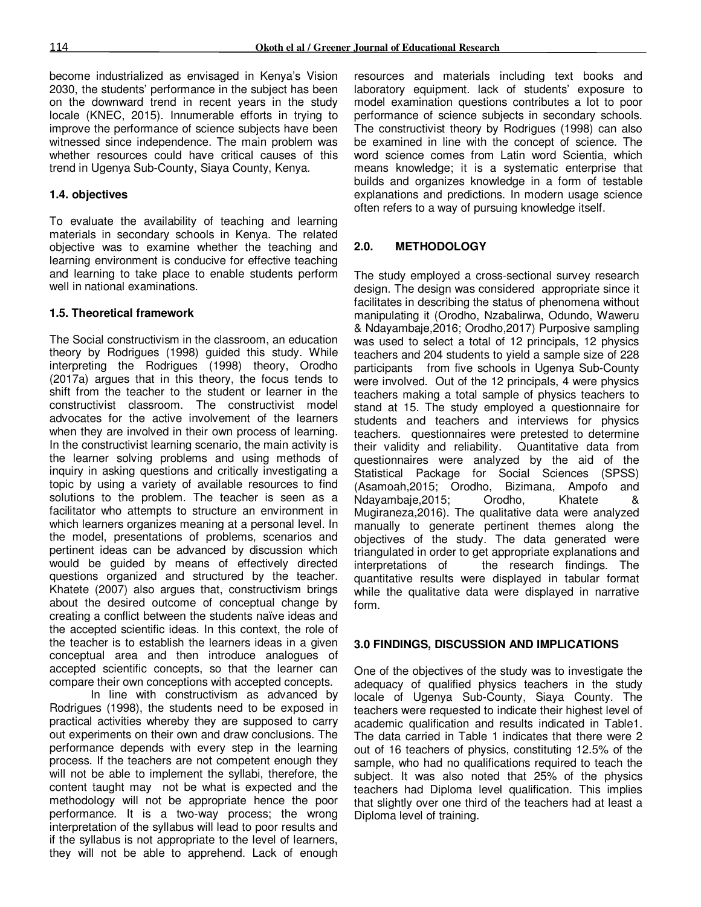become industrialized as envisaged in Kenya's Vision 2030, the students' performance in the subject has been on the downward trend in recent years in the study locale (KNEC, 2015). Innumerable efforts in trying to improve the performance of science subjects have been witnessed since independence. The main problem was whether resources could have critical causes of this trend in Ugenya Sub-County, Siaya County, Kenya.

#### **1.4. objectives**

To evaluate the availability of teaching and learning materials in secondary schools in Kenya. The related objective was to examine whether the teaching and learning environment is conducive for effective teaching and learning to take place to enable students perform well in national examinations.

### **1.5. Theoretical framework**

The Social constructivism in the classroom, an education theory by Rodrigues (1998) guided this study. While interpreting the Rodrigues (1998) theory, Orodho (2017a) argues that in this theory, the focus tends to shift from the teacher to the student or learner in the constructivist classroom. The constructivist model advocates for the active involvement of the learners when they are involved in their own process of learning. In the constructivist learning scenario, the main activity is the learner solving problems and using methods of inquiry in asking questions and critically investigating a topic by using a variety of available resources to find solutions to the problem. The teacher is seen as a facilitator who attempts to structure an environment in which learners organizes meaning at a personal level. In the model, presentations of problems, scenarios and pertinent ideas can be advanced by discussion which would be guided by means of effectively directed questions organized and structured by the teacher. Khatete (2007) also argues that, constructivism brings about the desired outcome of conceptual change by creating a conflict between the students naïve ideas and the accepted scientific ideas. In this context, the role of the teacher is to establish the learners ideas in a given conceptual area and then introduce analogues of accepted scientific concepts, so that the learner can compare their own conceptions with accepted concepts.

In line with constructivism as advanced by Rodrigues (1998), the students need to be exposed in practical activities whereby they are supposed to carry out experiments on their own and draw conclusions. The performance depends with every step in the learning process. If the teachers are not competent enough they will not be able to implement the syllabi, therefore, the content taught may not be what is expected and the methodology will not be appropriate hence the poor performance. It is a two-way process; the wrong interpretation of the syllabus will lead to poor results and if the syllabus is not appropriate to the level of learners, they will not be able to apprehend. Lack of enough

resources and materials including text books and laboratory equipment. lack of students' exposure to model examination questions contributes a lot to poor performance of science subjects in secondary schools. The constructivist theory by Rodrigues (1998) can also be examined in line with the concept of science. The word science comes from Latin word Scientia, which means knowledge; it is a systematic enterprise that builds and organizes knowledge in a form of testable explanations and predictions. In modern usage science often refers to a way of pursuing knowledge itself.

### **2.0. METHODOLOGY**

The study employed a cross-sectional survey research design. The design was considered appropriate since it facilitates in describing the status of phenomena without manipulating it (Orodho, Nzabalirwa, Odundo, Waweru & Ndayambaje,2016; Orodho,2017) Purposive sampling was used to select a total of 12 principals, 12 physics teachers and 204 students to yield a sample size of 228 participants from five schools in Ugenya Sub-County were involved. Out of the 12 principals, 4 were physics teachers making a total sample of physics teachers to stand at 15. The study employed a questionnaire for students and teachers and interviews for physics teachers. questionnaires were pretested to determine their validity and reliability. Quantitative data from questionnaires were analyzed by the aid of the Statistical Package for Social Sciences (SPSS) (Asamoah,2015; Orodho, Bizimana, Ampofo and Ndayambaje,2015; Orodho, Khatete & Mugiraneza,2016). The qualitative data were analyzed manually to generate pertinent themes along the objectives of the study. The data generated were triangulated in order to get appropriate explanations and interpretations of the research findings. The quantitative results were displayed in tabular format while the qualitative data were displayed in narrative form.

#### **3.0 FINDINGS, DISCUSSION AND IMPLICATIONS**

One of the objectives of the study was to investigate the adequacy of qualified physics teachers in the study locale of Ugenya Sub-County, Siaya County. The teachers were requested to indicate their highest level of academic qualification and results indicated in Table1. The data carried in Table 1 indicates that there were 2 out of 16 teachers of physics, constituting 12.5% of the sample, who had no qualifications required to teach the subject. It was also noted that 25% of the physics teachers had Diploma level qualification. This implies that slightly over one third of the teachers had at least a Diploma level of training.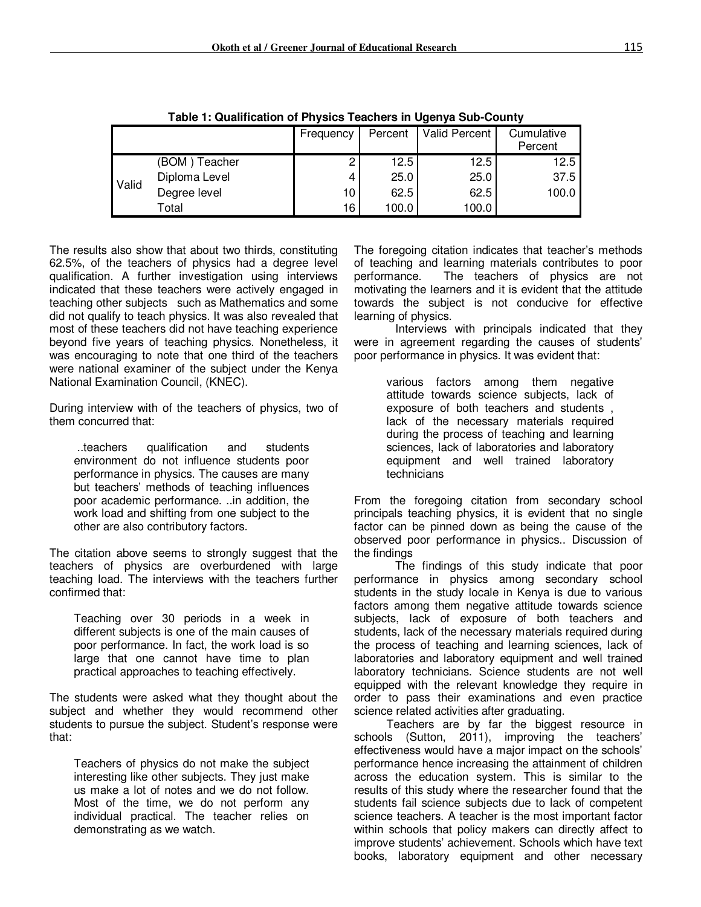|       |               | Frequency | Percent | Valid Percent | Cumulative<br>Percent |
|-------|---------------|-----------|---------|---------------|-----------------------|
|       |               |           |         |               |                       |
| Valid | (BOM) Teacher | 2         | 12.5    | 12.5          | 12.5                  |
|       | Diploma Level | 4         | 25.0    | 25.0          | 37.5                  |
|       | Degree level  | 10        | 62.5    | 62.5          | 100.0                 |
|       | Total         | 16        | 100.0   | 100.0         |                       |

**Table 1: Qualification of Physics Teachers in Ugenya Sub-County**

The results also show that about two thirds, constituting 62.5%, of the teachers of physics had a degree level qualification. A further investigation using interviews indicated that these teachers were actively engaged in teaching other subjects such as Mathematics and some did not qualify to teach physics. It was also revealed that most of these teachers did not have teaching experience beyond five years of teaching physics. Nonetheless, it was encouraging to note that one third of the teachers were national examiner of the subject under the Kenya National Examination Council, (KNEC).

During interview with of the teachers of physics, two of them concurred that:

 ..teachers qualification and students environment do not influence students poor performance in physics. The causes are many but teachers' methods of teaching influences poor academic performance. ..in addition, the work load and shifting from one subject to the other are also contributory factors.

The citation above seems to strongly suggest that the teachers of physics are overburdened with large teaching load. The interviews with the teachers further confirmed that:

Teaching over 30 periods in a week in different subjects is one of the main causes of poor performance. In fact, the work load is so large that one cannot have time to plan practical approaches to teaching effectively.

The students were asked what they thought about the subject and whether they would recommend other students to pursue the subject. Student's response were that:

Teachers of physics do not make the subject interesting like other subjects. They just make us make a lot of notes and we do not follow. Most of the time, we do not perform any individual practical. The teacher relies on demonstrating as we watch.

The foregoing citation indicates that teacher's methods of teaching and learning materials contributes to poor<br>performance. The teachers of physics are not The teachers of physics are not motivating the learners and it is evident that the attitude towards the subject is not conducive for effective learning of physics.

Interviews with principals indicated that they were in agreement regarding the causes of students' poor performance in physics. It was evident that:

> various factors among them negative attitude towards science subjects, lack of exposure of both teachers and students , lack of the necessary materials required during the process of teaching and learning sciences, lack of laboratories and laboratory equipment and well trained laboratory technicians

From the foregoing citation from secondary school principals teaching physics, it is evident that no single factor can be pinned down as being the cause of the observed poor performance in physics.. Discussion of the findings

The findings of this study indicate that poor performance in physics among secondary school students in the study locale in Kenya is due to various factors among them negative attitude towards science subjects, lack of exposure of both teachers and students, lack of the necessary materials required during the process of teaching and learning sciences, lack of laboratories and laboratory equipment and well trained laboratory technicians. Science students are not well equipped with the relevant knowledge they require in order to pass their examinations and even practice science related activities after graduating.

Teachers are by far the biggest resource in schools (Sutton, 2011), improving the teachers' effectiveness would have a major impact on the schools' performance hence increasing the attainment of children across the education system. This is similar to the results of this study where the researcher found that the students fail science subjects due to lack of competent science teachers. A teacher is the most important factor within schools that policy makers can directly affect to improve students' achievement. Schools which have text books, laboratory equipment and other necessary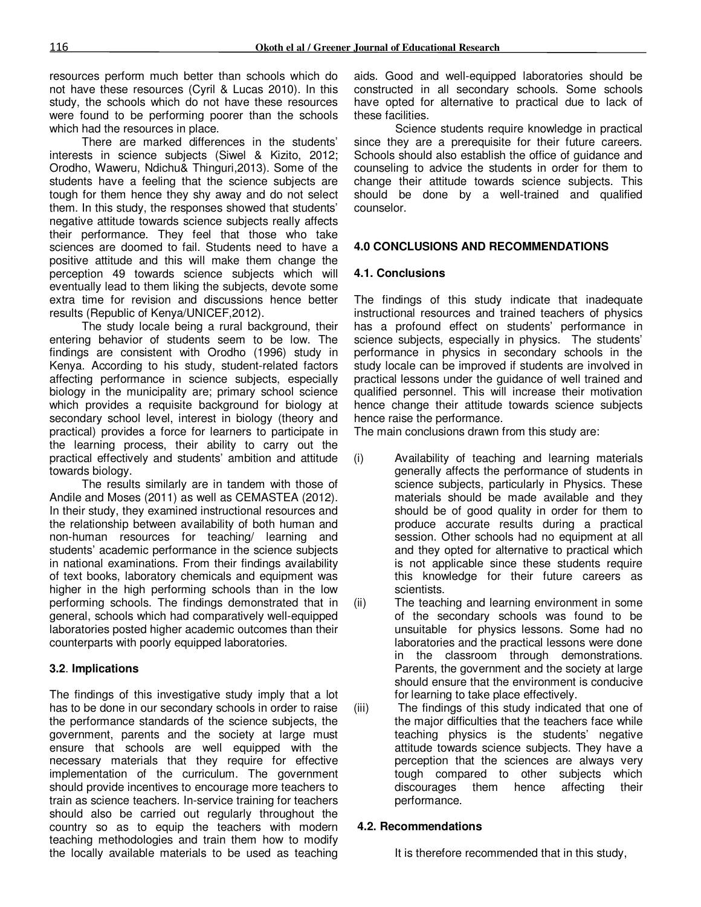resources perform much better than schools which do not have these resources (Cyril & Lucas 2010). In this study, the schools which do not have these resources were found to be performing poorer than the schools which had the resources in place.

There are marked differences in the students' interests in science subjects (Siwel & Kizito, 2012; Orodho, Waweru, Ndichu& Thinguri,2013). Some of the students have a feeling that the science subjects are tough for them hence they shy away and do not select them. In this study, the responses showed that students' negative attitude towards science subjects really affects their performance. They feel that those who take sciences are doomed to fail. Students need to have a positive attitude and this will make them change the perception 49 towards science subjects which will eventually lead to them liking the subjects, devote some extra time for revision and discussions hence better results (Republic of Kenya/UNICEF,2012).

The study locale being a rural background, their entering behavior of students seem to be low. The findings are consistent with Orodho (1996) study in Kenya. According to his study, student-related factors affecting performance in science subjects, especially biology in the municipality are; primary school science which provides a requisite background for biology at secondary school level, interest in biology (theory and practical) provides a force for learners to participate in the learning process, their ability to carry out the practical effectively and students' ambition and attitude towards biology.

The results similarly are in tandem with those of Andile and Moses (2011) as well as CEMASTEA (2012). In their study, they examined instructional resources and the relationship between availability of both human and non-human resources for teaching/ learning and students' academic performance in the science subjects in national examinations. From their findings availability of text books, laboratory chemicals and equipment was higher in the high performing schools than in the low performing schools. The findings demonstrated that in general, schools which had comparatively well-equipped laboratories posted higher academic outcomes than their counterparts with poorly equipped laboratories.

#### **3.2**. **Implications**

The findings of this investigative study imply that a lot has to be done in our secondary schools in order to raise the performance standards of the science subjects, the government, parents and the society at large must ensure that schools are well equipped with the necessary materials that they require for effective implementation of the curriculum. The government should provide incentives to encourage more teachers to train as science teachers. In-service training for teachers should also be carried out regularly throughout the country so as to equip the teachers with modern teaching methodologies and train them how to modify the locally available materials to be used as teaching

aids. Good and well-equipped laboratories should be constructed in all secondary schools. Some schools have opted for alternative to practical due to lack of these facilities.

Science students require knowledge in practical since they are a prerequisite for their future careers. Schools should also establish the office of guidance and counseling to advice the students in order for them to change their attitude towards science subjects. This should be done by a well-trained and qualified counselor.

### **4.0 CONCLUSIONS AND RECOMMENDATIONS**

#### **4.1. Conclusions**

The findings of this study indicate that inadequate instructional resources and trained teachers of physics has a profound effect on students' performance in science subjects, especially in physics. The students' performance in physics in secondary schools in the study locale can be improved if students are involved in practical lessons under the guidance of well trained and qualified personnel. This will increase their motivation hence change their attitude towards science subjects hence raise the performance.

The main conclusions drawn from this study are:

- (i) Availability of teaching and learning materials generally affects the performance of students in science subjects, particularly in Physics. These materials should be made available and they should be of good quality in order for them to produce accurate results during a practical session. Other schools had no equipment at all and they opted for alternative to practical which is not applicable since these students require this knowledge for their future careers as scientists.
- (ii) The teaching and learning environment in some of the secondary schools was found to be unsuitable for physics lessons. Some had no laboratories and the practical lessons were done in the classroom through demonstrations. Parents, the government and the society at large should ensure that the environment is conducive for learning to take place effectively.
- (iii) The findings of this study indicated that one of the major difficulties that the teachers face while teaching physics is the students' negative attitude towards science subjects. They have a perception that the sciences are always very tough compared to other subjects which discourages them hence affecting their performance.

#### **4.2. Recommendations**

It is therefore recommended that in this study,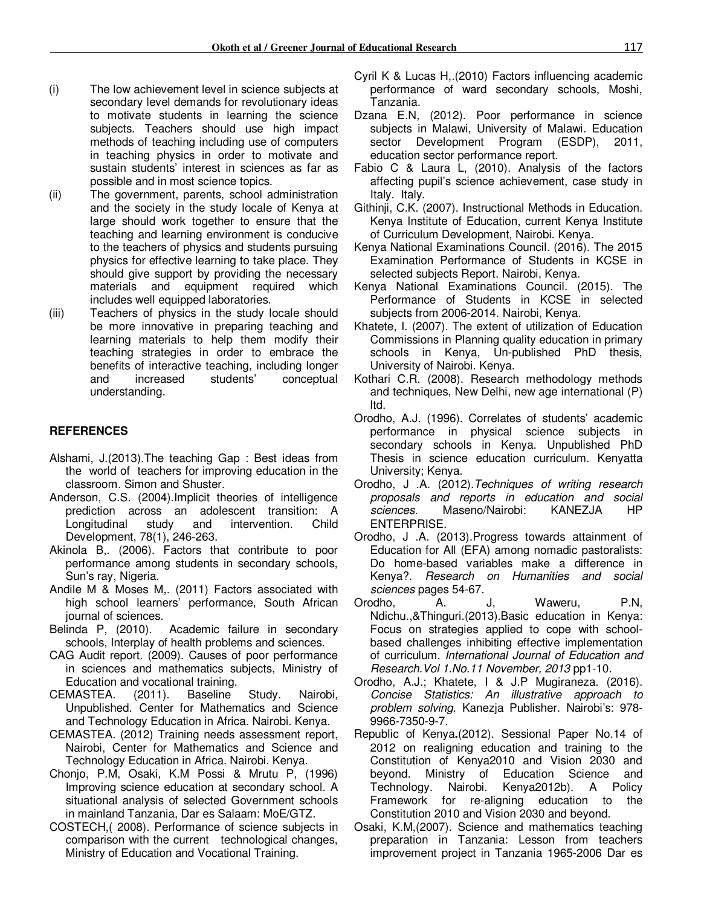- (i) The low achievement level in science subjects at secondary level demands for revolutionary ideas to motivate students in learning the science subjects. Teachers should use high impact methods of teaching including use of computers in teaching physics in order to motivate and sustain students' interest in sciences as far as possible and in most science topics.
- (ii) The government, parents, school administration and the society in the study locale of Kenya at large should work together to ensure that the teaching and learning environment is conducive to the teachers of physics and students pursuing physics for effective learning to take place. They should give support by providing the necessary materials and equipment required which includes well equipped laboratories.
- (iii) Teachers of physics in the study locale should be more innovative in preparing teaching and learning materials to help them modify their teaching strategies in order to embrace the benefits of interactive teaching, including longer and increased students' conceptual understanding.

### **REFERENCES**

- Alshami, J.(2013).The teaching Gap : Best ideas from the world of teachers for improving education in the classroom. Simon and Shuster.
- Anderson, C.S. (2004).Implicit theories of intelligence prediction across an adolescent transition: A<br>Longitudinal study and intervention. Child Longitudinal study and intervention. Child Development, 78(1), 246-263.
- Akinola B,. (2006). Factors that contribute to poor performance among students in secondary schools, Sun's ray, Nigeria.
- Andile M & Moses M,. (2011) Factors associated with high school learners' performance, South African journal of sciences.
- Belinda P, (2010). Academic failure in secondary schools, Interplay of health problems and sciences.
- CAG Audit report. (2009). Causes of poor performance in sciences and mathematics subjects, Ministry of Education and vocational training.
- CEMASTEA. (2011). Baseline Study. Nairobi, Unpublished. Center for Mathematics and Science and Technology Education in Africa. Nairobi. Kenya.
- CEMASTEA. (2012) Training needs assessment report, Nairobi, Center for Mathematics and Science and Technology Education in Africa. Nairobi. Kenya.
- Chonjo, P.M, Osaki, K.M Possi & Mrutu P, (1996) Improving science education at secondary school. A situational analysis of selected Government schools in mainland Tanzania, Dar es Salaam: MoE/GTZ.
- COSTECH,( 2008). Performance of science subjects in comparison with the current technological changes, Ministry of Education and Vocational Training.
- Cyril K & Lucas H,.(2010) Factors influencing academic performance of ward secondary schools, Moshi, Tanzania.
- Dzana E.N, (2012). Poor performance in science subjects in Malawi, University of Malawi. Education sector Development Program (ESDP), 2011, education sector performance report.
- Fabio C & Laura L, (2010). Analysis of the factors affecting pupil's science achievement, case study in Italy. Italy.
- Githinji, C.K. (2007). Instructional Methods in Education. Kenya Institute of Education, current Kenya Institute of Curriculum Development, Nairobi. Kenya.
- Kenya National Examinations Council. (2016). The 2015 Examination Performance of Students in KCSE in selected subjects Report. Nairobi, Kenya.
- Kenya National Examinations Council. (2015). The Performance of Students in KCSE in selected subjects from 2006-2014. Nairobi, Kenya.
- Khatete, I. (2007). The extent of utilization of Education Commissions in Planning quality education in primary schools in Kenya, Un-published PhD thesis, University of Nairobi. Kenya.
- Kothari C.R. (2008). Research methodology methods and techniques, New Delhi, new age international (P) ltd.
- Orodho, A.J. (1996). Correlates of students' academic performance in physical science subjects in secondary schools in Kenya. Unpublished PhD Thesis in science education curriculum. Kenyatta University; Kenya.
- Orodho, J .A. (2012).*Techniques of writing research proposals and reports in education and social sciences*. Maseno/Nairobi: KANEZJA HP ENTERPRISE.
- Orodho, J .A. (2013).Progress towards attainment of Education for All (EFA) among nomadic pastoralists: Do home-based variables make a difference in Kenya?. *Research on Humanities and social sciences* pages 54-67.
- Orodho, A. J, Waweru, P.N, Ndichu.,&Thinguri.(2013).Basic education in Kenya: Focus on strategies applied to cope with schoolbased challenges inhibiting effective implementation of curriculum. *International Journal of Education and Research.Vol 1.No.11 November, 2013* pp1-10.
- Orodho, A.J.; Khatete, I & J.P Mugiraneza. (2016). *Concise Statistics: An illustrative approach to problem solving*. Kanezja Publisher. Nairobi's: 978- 9966-7350-9-7.
- Republic of Kenya**.**(2012). Sessional Paper No.14 of 2012 on realigning education and training to the Constitution of Kenya2010 and Vision 2030 and beyond. Ministry of Education Science and Technology. Nairobi. Kenya2012b). A Policy Framework for re-aligning education to the Constitution 2010 and Vision 2030 and beyond.
- Osaki, K.M,(2007). Science and mathematics teaching preparation in Tanzania: Lesson from teachers improvement project in Tanzania 1965-2006 Dar es